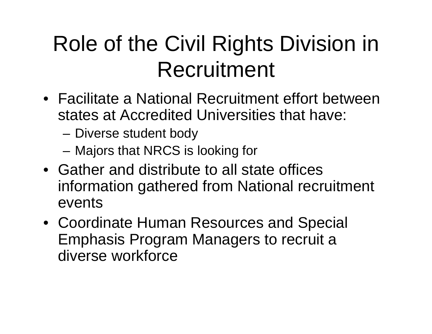# Role of the Civil Rights Division in Recruitment

- Facilitate a National Recruitment effort between states at Accredited Universities that have:
	- Diverse student body
	- –Majors that NRCS is looking for
- Gather and distribute to all state offices information gathered from National recruitment events
- Coordinate Human Resources and Special Emphasis Program Managers to recruit a diverse workforce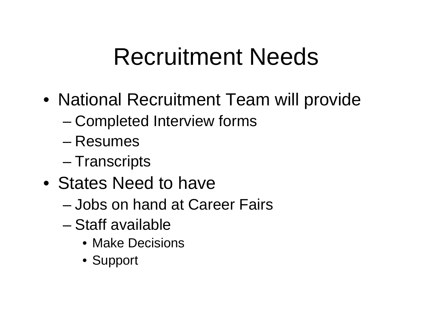# Recruitment Needs

- National Recruitment Team will provide
	- –Completed Interview forms
	- Resumes
	- –Transcripts
- States Need to have
	- Jobs on hand at Career Fairs
	- Staff available
		- Make Decisions
		- Support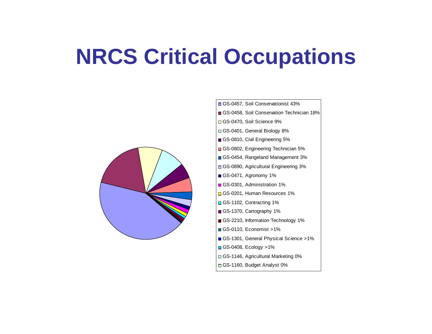#### **NRCS Critical Occupations**



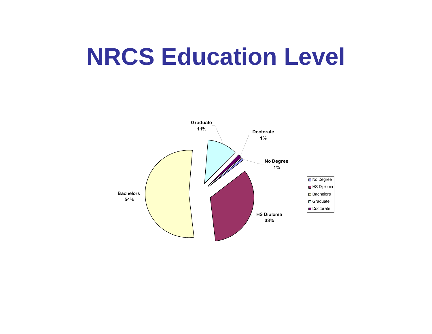#### **NRCS Education Level**

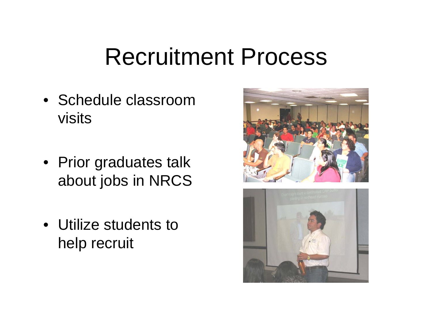# Recruitment Process

- Schedule classroom visits
- Prior graduates talk about jobs in NRCS
- Utilize students to help recruit



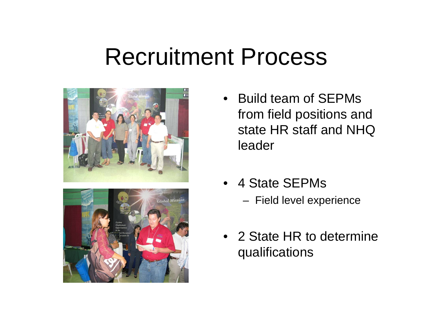### Recruitment Process





- Build team of SEPMs from field positions and state HR staff and NHQ leader
- 4 State SEPMs
	- Field level experience
- 2 State HR to determine qualifications